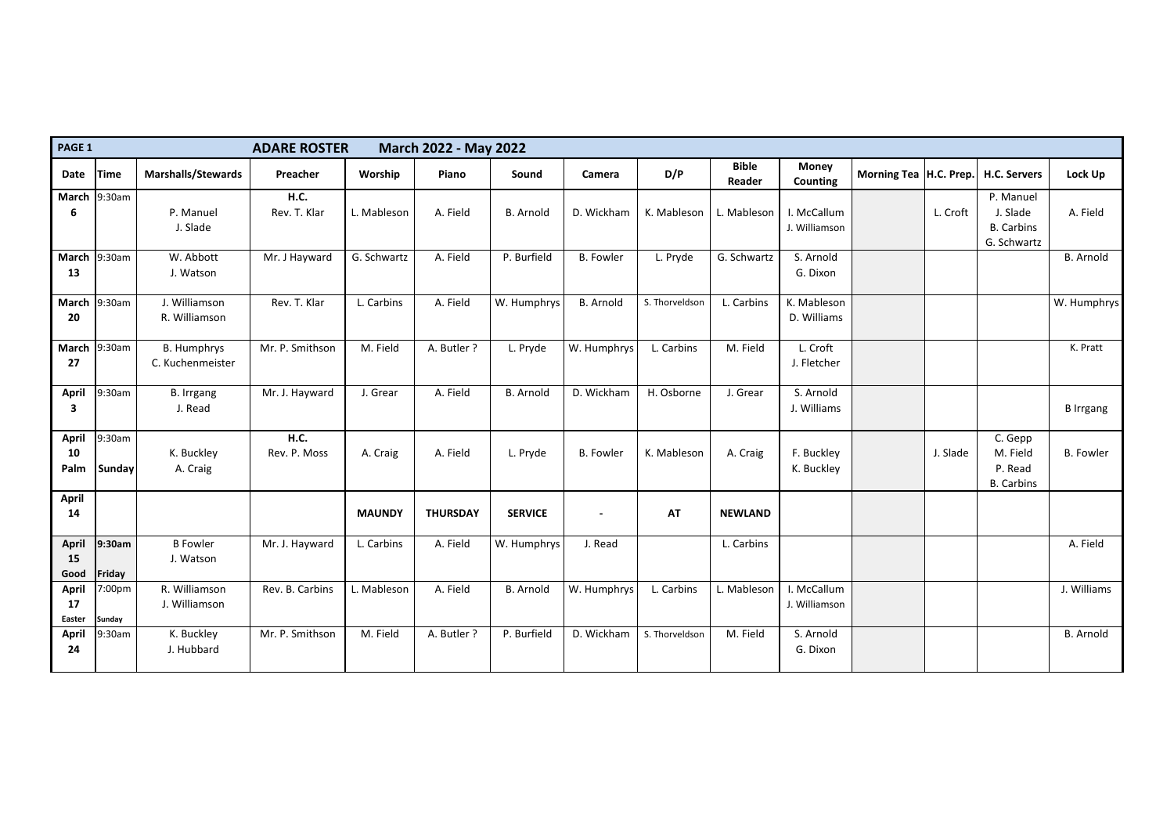| PAGE 1                              |                         |                                        | <b>ADARE ROSTER</b>         |                | <b>March 2022 - May 2022</b> |                  |                  |                |                        |                                 |                          |          |                                                           |                  |
|-------------------------------------|-------------------------|----------------------------------------|-----------------------------|----------------|------------------------------|------------------|------------------|----------------|------------------------|---------------------------------|--------------------------|----------|-----------------------------------------------------------|------------------|
| Date                                | <b>Time</b>             | <b>Marshalls/Stewards</b>              | Preacher                    | <b>Worship</b> | Piano                        | Sound            | Camera           | D/P            | <b>Bible</b><br>Reader | <b>Money</b><br><b>Counting</b> | Morning Tea   H.C. Prep. |          | <b>H.C. Servers</b>                                       | <b>Lock Up</b>   |
| March $ 9:30$ am<br>6               |                         | P. Manuel<br>J. Slade                  | <b>H.C.</b><br>Rev. T. Klar | L. Mableson    | A. Field                     | <b>B.</b> Arnold | D. Wickham       | K. Mableson    | L. Mableson            | I. McCallum<br>J. Williamson    |                          | L. Croft | P. Manuel<br>J. Slade<br><b>B.</b> Carbins<br>G. Schwartz | A. Field         |
| <b>March</b><br>13                  | 9:30am                  | W. Abbott<br>J. Watson                 | Mr. J Hayward               | G. Schwartz    | A. Field                     | P. Burfield      | <b>B.</b> Fowler | L. Pryde       | G. Schwartz            | S. Arnold<br>G. Dixon           |                          |          |                                                           | <b>B.</b> Arnold |
| March<br>20                         | 9:30am                  | J. Williamson<br>R. Williamson         | Rev. T. Klar                | L. Carbins     | A. Field                     | W. Humphrys      | <b>B.</b> Arnold | S. Thorveldson | L. Carbins             | K. Mableson<br>D. Williams      |                          |          |                                                           | W. Humphrys      |
| <b>March</b><br>27                  | 9:30am                  | <b>B. Humphrys</b><br>C. Kuchenmeister | Mr. P. Smithson             | M. Field       | A. Butler ?                  | L. Pryde         | W. Humphrys      | L. Carbins     | M. Field               | L. Croft<br>J. Fletcher         |                          |          |                                                           | K. Pratt         |
| <b>April</b><br>3                   | 9:30am                  | <b>B.</b> Irrgang<br>J. Read           | Mr. J. Hayward              | J. Grear       | A. Field                     | <b>B.</b> Arnold | D. Wickham       | H. Osborne     | J. Grear               | S. Arnold<br>J. Williams        |                          |          |                                                           | <b>B</b> Irrgang |
| <b>April</b><br>10<br>Palm          | 9:30am<br><b>Sunday</b> | K. Buckley<br>A. Craig                 | <b>H.C.</b><br>Rev. P. Moss | A. Craig       | A. Field                     | L. Pryde         | <b>B.</b> Fowler | K. Mableson    | A. Craig               | F. Buckley<br>K. Buckley        |                          | J. Slade | C. Gepp<br>M. Field<br>P. Read<br><b>B.</b> Carbins       | <b>B.</b> Fowler |
| <b>April</b><br>14                  |                         |                                        |                             | <b>MAUNDY</b>  | <b>THURSDAY</b>              | <b>SERVICE</b>   | $\blacksquare$   | <b>AT</b>      | <b>NEWLAND</b>         |                                 |                          |          |                                                           |                  |
| <b>April</b><br> 15 <br>Good        | $ 9:30$ am<br>Friday    | <b>B</b> Fowler<br>J. Watson           | Mr. J. Hayward              | L. Carbins     | A. Field                     | W. Humphrys      | J. Read          |                | L. Carbins             |                                 |                          |          |                                                           | A. Field         |
| <b>April</b><br>17<br><b>Easter</b> | 7:00pm<br>Sunday        | R. Williamson<br>J. Williamson         | Rev. B. Carbins             | L. Mableson    | A. Field                     | <b>B.</b> Arnold | W. Humphrys      | L. Carbins     | L. Mableson            | I. McCallum<br>J. Williamson    |                          |          |                                                           | J. Williams      |
| <b>April</b><br>24                  | 9:30am                  | K. Buckley<br>J. Hubbard               | Mr. P. Smithson             | M. Field       | A. Butler ?                  | P. Burfield      | D. Wickham       | S. Thorveldson | M. Field               | S. Arnold<br>G. Dixon           |                          |          |                                                           | <b>B.</b> Arnold |